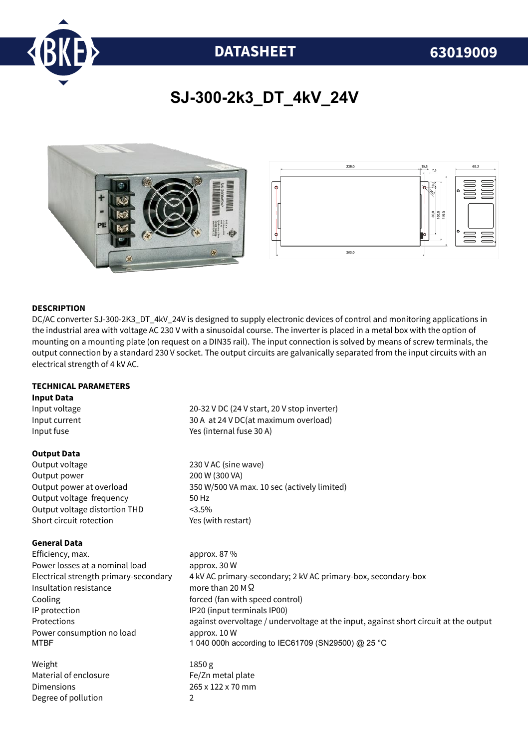

# **DATASHEET 63019009**

# **SJ-300-2k3\_DT\_4kV\_24V**





# **DESCRIPTION**

DC/AC converter SJ-300-2K3\_DT\_4kV\_24V is designed to supply electronic devices of control and monitoring applications in the industrial area with voltage AC 230 V with a sinusoidal course. The inverter is placed in a metal box with the option of mounting on a mounting plate (on request on a DIN35 rail). The input connection is solved by means of screw terminals, the output connection by a standard 230 V socket. The output circuits are galvanically separated from the input circuits with an electrical strength of 4 kV AC.

### **TECHNICAL PARAMETERS**

Degree of pollution 2

#### **Input Data**

Input voltage 20-32 V DC (24 V start, 20 V stop inverter) Input current 30 A at 24 V DC(at maximum overload) Input fuse The Material of the Yes (internal fuse 30 A) **Output Data** Output voltage 230 V AC (sine wave) Output power 200 W (300 VA) Output power at overload 350 W/500 VA max. 10 sec (actively limited) Output voltage frequency 50 Hz Output voltage distortion THD <3.5% Short circuit rotection Yes (with restart) **General Data** Efficiency, max. approx. 87 % Power losses at a nominal load approx. 30 W Electrical strength primary-secondary 4 kV AC primary-secondary; 2 kV AC primary-box, secondary-box Insultation resistance more than 20 MΩ Cooling **forced** (fan with speed control) IP protection IP20 (input terminals IP00) Protections against overvoltage / undervoltage at the input, against short circuit at the output Power consumption no load approx. 10 W MTBF 1 040 000h according to IEC61709 (SN29500) @ 25 °C Weight 1850 g Material of enclosure Fe/Zn metal plate Dimensions 265 x 122 x 70 mm